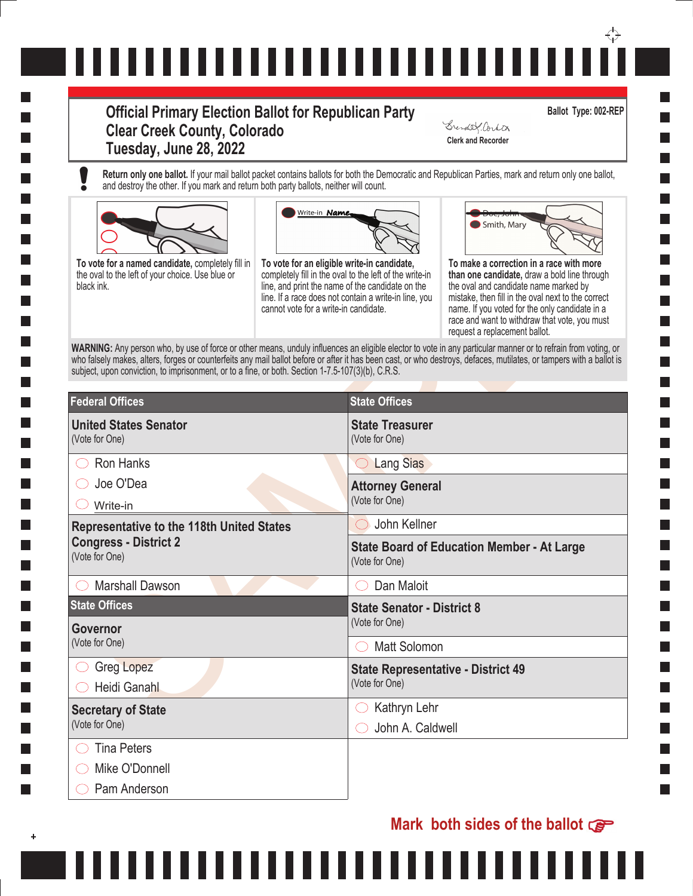# ↔ ,,,,,,,,,,,,,,,,,,,,,,,,,,,,

### **Official Primary Election Ballot for Republican Party Clear Creek County, Colorado Tuesday, June 28, 2022 Clerk and Recorder**

**Ballot Type: 002-REP**

Grender Cortin

**Return only one ballot.** If your mail ballot packet contains ballots for both the Democratic and Republican Parties, mark and return only one ballot, and destroy the other. If you mark and return both party ballots, neither will count.







| To vote for a named candidate, completely fill in<br>the oval to the left of your choice. Use blue or<br>black ink.                                                                                                                                                                                                                                                                                                                        | Write-in <b>Name,</b><br>To vote for an eligible write-in candidate,<br>completely fill in the oval to the left of the write-in<br>line, and print the name of the candidate on the<br>line. If a race does not contain a write-in line, you<br>cannot vote for a write-in candidate. |                                                                     | Smith, Mary<br>To make a correction in a race with more<br>than one candidate, draw a bold line through<br>the oval and candidate name marked by<br>mistake, then fill in the oval next to the correct<br>name. If you voted for the only candidate in a<br>race and want to withdraw that vote, you must<br>request a replacement ballot. |
|--------------------------------------------------------------------------------------------------------------------------------------------------------------------------------------------------------------------------------------------------------------------------------------------------------------------------------------------------------------------------------------------------------------------------------------------|---------------------------------------------------------------------------------------------------------------------------------------------------------------------------------------------------------------------------------------------------------------------------------------|---------------------------------------------------------------------|--------------------------------------------------------------------------------------------------------------------------------------------------------------------------------------------------------------------------------------------------------------------------------------------------------------------------------------------|
| WARNING: Any person who, by use of force or other means, unduly influences an eligible elector to vote in any particular manner or to refrain from voting, or<br>who falsely makes, alters, forges or counterfeits any mail ballot before or after it has been cast, or who destroys, defaces, mutilates, or tampers with a ballot is<br>subject, upon conviction, to imprisonment, or to a fine, or both. Section 1-7.5-107(3)(b), C.R.S. |                                                                                                                                                                                                                                                                                       |                                                                     |                                                                                                                                                                                                                                                                                                                                            |
| <b>Federal Offices</b>                                                                                                                                                                                                                                                                                                                                                                                                                     |                                                                                                                                                                                                                                                                                       | <b>State Offices</b>                                                |                                                                                                                                                                                                                                                                                                                                            |
| <b>United States Senator</b><br>(Vote for One)                                                                                                                                                                                                                                                                                                                                                                                             |                                                                                                                                                                                                                                                                                       | <b>State Treasurer</b><br>(Vote for One)                            |                                                                                                                                                                                                                                                                                                                                            |
| Ron Hanks                                                                                                                                                                                                                                                                                                                                                                                                                                  |                                                                                                                                                                                                                                                                                       | <b>Lang Sias</b><br>$\hspace{0.1in}$                                |                                                                                                                                                                                                                                                                                                                                            |
| Joe O'Dea                                                                                                                                                                                                                                                                                                                                                                                                                                  |                                                                                                                                                                                                                                                                                       | <b>Attorney General</b>                                             |                                                                                                                                                                                                                                                                                                                                            |
| Write-in                                                                                                                                                                                                                                                                                                                                                                                                                                   |                                                                                                                                                                                                                                                                                       | (Vote for One)                                                      |                                                                                                                                                                                                                                                                                                                                            |
| <b>Representative to the 118th United States</b><br><b>Congress - District 2</b><br>(Vote for One)                                                                                                                                                                                                                                                                                                                                         |                                                                                                                                                                                                                                                                                       | John Kellner                                                        |                                                                                                                                                                                                                                                                                                                                            |
|                                                                                                                                                                                                                                                                                                                                                                                                                                            |                                                                                                                                                                                                                                                                                       | <b>State Board of Education Member - At Large</b><br>(Vote for One) |                                                                                                                                                                                                                                                                                                                                            |
| <b>Marshall Dawson</b>                                                                                                                                                                                                                                                                                                                                                                                                                     |                                                                                                                                                                                                                                                                                       | Dan Maloit                                                          |                                                                                                                                                                                                                                                                                                                                            |
| <b>State Offices</b>                                                                                                                                                                                                                                                                                                                                                                                                                       |                                                                                                                                                                                                                                                                                       | <b>State Senator - District 8</b>                                   |                                                                                                                                                                                                                                                                                                                                            |
| <b>Governor</b>                                                                                                                                                                                                                                                                                                                                                                                                                            |                                                                                                                                                                                                                                                                                       | (Vote for One)                                                      |                                                                                                                                                                                                                                                                                                                                            |
| (Vote for One)                                                                                                                                                                                                                                                                                                                                                                                                                             |                                                                                                                                                                                                                                                                                       | <b>Matt Solomon</b>                                                 |                                                                                                                                                                                                                                                                                                                                            |
| <b>Greg Lopez</b><br>Heidi Ganahl                                                                                                                                                                                                                                                                                                                                                                                                          |                                                                                                                                                                                                                                                                                       | <b>State Representative - District 49</b><br>(Vote for One)         |                                                                                                                                                                                                                                                                                                                                            |
| <b>Secretary of State</b>                                                                                                                                                                                                                                                                                                                                                                                                                  |                                                                                                                                                                                                                                                                                       | Kathryn Lehr                                                        |                                                                                                                                                                                                                                                                                                                                            |
| (Vote for One)                                                                                                                                                                                                                                                                                                                                                                                                                             |                                                                                                                                                                                                                                                                                       | John A. Caldwell                                                    |                                                                                                                                                                                                                                                                                                                                            |
| <b>Tina Peters</b>                                                                                                                                                                                                                                                                                                                                                                                                                         |                                                                                                                                                                                                                                                                                       |                                                                     |                                                                                                                                                                                                                                                                                                                                            |
| Mike O'Donnell                                                                                                                                                                                                                                                                                                                                                                                                                             |                                                                                                                                                                                                                                                                                       |                                                                     |                                                                                                                                                                                                                                                                                                                                            |
| Pam Anderson                                                                                                                                                                                                                                                                                                                                                                                                                               |                                                                                                                                                                                                                                                                                       |                                                                     |                                                                                                                                                                                                                                                                                                                                            |

111

## **Mark both sides of the ballot**

n a